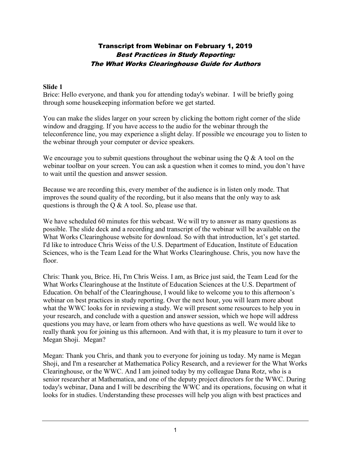# Transcript from Webinar on February 1, 2019 Best Practices in Study Reporting: The What Works Clearinghouse Guide for Authors

#### **Slide 1**

Brice: Hello everyone, and thank you for attending today's webinar. I will be briefly going through some housekeeping information before we get started.

You can make the slides larger on your screen by clicking the bottom right corner of the slide window and dragging. If you have access to the audio for the webinar through the teleconference line, you may experience a slight delay. If possible we encourage you to listen to the webinar through your computer or device speakers.

We encourage you to submit questions throughout the webinar using the  $Q \& A$  tool on the webinar toolbar on your screen. You can ask a question when it comes to mind, you don't have to wait until the question and answer session.

Because we are recording this, every member of the audience is in listen only mode. That improves the sound quality of the recording, but it also means that the only way to ask questions is through the  $\overline{Q}$  & A tool. So, please use that.

We have scheduled 60 minutes for this webcast. We will try to answer as many questions as possible. The slide deck and a recording and transcript of the webinar will be available on the What Works Clearinghouse website for download. So with that introduction, let's get started. I'd like to introduce Chris Weiss of the U.S. Department of Education, Institute of Education Sciences, who is the Team Lead for the What Works Clearinghouse. Chris, you now have the floor.

Chris: Thank you, Brice. Hi, I'm Chris Weiss. I am, as Brice just said, the Team Lead for the What Works Clearinghouse at the Institute of Education Sciences at the U.S. Department of Education. On behalf of the Clearinghouse, I would like to welcome you to this afternoon's webinar on best practices in study reporting. Over the next hour, you will learn more about what the WWC looks for in reviewing a study. We will present some resources to help you in your research, and conclude with a question and answer session, which we hope will address questions you may have, or learn from others who have questions as well. We would like to really thank you for joining us this afternoon. And with that, it is my pleasure to turn it over to Megan Shoji. Megan?

Megan: Thank you Chris, and thank you to everyone for joining us today. My name is Megan Shoji, and I'm a researcher at Mathematica Policy Research, and a reviewer for the What Works Clearinghouse, or the WWC. And I am joined today by my colleague Dana Rotz, who is a senior researcher at Mathematica, and one of the deputy project directors for the WWC. During today's webinar, Dana and I will be describing the WWC and its operations, focusing on what it looks for in studies. Understanding these processes will help you align with best practices and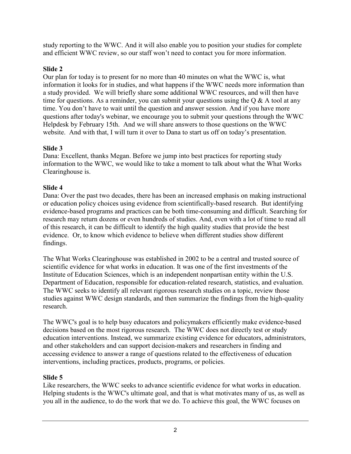study reporting to the WWC. And it will also enable you to position your studies for complete and efficient WWC review, so our staff won't need to contact you for more information.

# **Slide 2**

Our plan for today is to present for no more than 40 minutes on what the WWC is, what information it looks for in studies, and what happens if the WWC needs more information than a study provided. We will briefly share some additional WWC resources, and will then have time for questions. As a reminder, you can submit your questions using the  $Q & A$  tool at any time. You don't have to wait until the question and answer session. And if you have more questions after today's webinar, we encourage you to submit your questions through the WWC Helpdesk by February 15th. And we will share answers to those questions on the WWC website. And with that, I will turn it over to Dana to start us off on today's presentation.

# **Slide 3**

Dana: Excellent, thanks Megan. Before we jump into best practices for reporting study information to the WWC, we would like to take a moment to talk about what the What Works Clearinghouse is.

# **Slide 4**

Dana: Over the past two decades, there has been an increased emphasis on making instructional or education policy choices using evidence from scientifically-based research. But identifying evidence-based programs and practices can be both time-consuming and difficult. Searching for research may return dozens or even hundreds of studies. And, even with a lot of time to read all of this research, it can be difficult to identify the high quality studies that provide the best evidence. Or, to know which evidence to believe when different studies show different findings.

The What Works Clearinghouse was established in 2002 to be a central and trusted source of scientific evidence for what works in education. It was one of the first investments of the Institute of Education Sciences, which is an independent nonpartisan entity within the U.S. Department of Education, responsible for education-related research, statistics, and evaluation. The WWC seeks to identify all relevant rigorous research studies on a topic, review those studies against WWC design standards, and then summarize the findings from the high-quality research.

The WWC's goal is to help busy educators and policymakers efficiently make evidence-based decisions based on the most rigorous research. The WWC does not directly test or study education interventions. Instead, we summarize existing evidence for educators, administrators, and other stakeholders and can support decision-makers and researchers in finding and accessing evidence to answer a range of questions related to the effectiveness of education interventions, including practices, products, programs, or policies.

# **Slide 5**

Like researchers, the WWC seeks to advance scientific evidence for what works in education. Helping students is the WWC's ultimate goal, and that is what motivates many of us, as well as you all in the audience, to do the work that we do. To achieve this goal, the WWC focuses on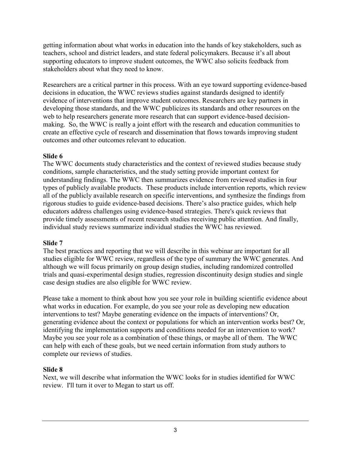getting information about what works in education into the hands of key stakeholders, such as teachers, school and district leaders, and state federal policymakers. Because it's all about supporting educators to improve student outcomes, the WWC also solicits feedback from stakeholders about what they need to know.

Researchers are a critical partner in this process. With an eye toward supporting evidence-based decisions in education, the WWC reviews studies against standards designed to identify evidence of interventions that improve student outcomes. Researchers are key partners in developing those standards, and the WWC publicizes its standards and other resources on the web to help researchers generate more research that can support evidence-based decisionmaking. So, the WWC is really a joint effort with the research and education communities to create an effective cycle of research and dissemination that flows towards improving student outcomes and other outcomes relevant to education.

### **Slide 6**

The WWC documents study characteristics and the context of reviewed studies because study conditions, sample characteristics, and the study setting provide important context for understanding findings. The WWC then summarizes evidence from reviewed studies in four types of publicly available products. These products include intervention reports, which review all of the publicly available research on specific interventions, and synthesize the findings from rigorous studies to guide evidence-based decisions. There's also practice guides, which help educators address challenges using evidence-based strategies. There's quick reviews that provide timely assessments of recent research studies receiving public attention. And finally, individual study reviews summarize individual studies the WWC has reviewed.

## **Slide 7**

The best practices and reporting that we will describe in this webinar are important for all studies eligible for WWC review, regardless of the type of summary the WWC generates. And although we will focus primarily on group design studies, including randomized controlled trials and quasi-experimental design studies, regression discontinuity design studies and single case design studies are also eligible for WWC review.

Please take a moment to think about how you see your role in building scientific evidence about what works in education. For example, do you see your role as developing new education interventions to test? Maybe generating evidence on the impacts of interventions? Or, generating evidence about the context or populations for which an intervention works best? Or, identifying the implementation supports and conditions needed for an intervention to work? Maybe you see your role as a combination of these things, or maybe all of them. The WWC can help with each of these goals, but we need certain information from study authors to complete our reviews of studies.

## **Slide 8**

Next, we will describe what information the WWC looks for in studies identified for WWC review. I'll turn it over to Megan to start us off.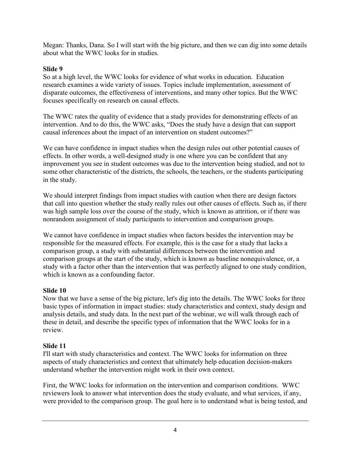Megan: Thanks, Dana. So I will start with the big picture, and then we can dig into some details about what the WWC looks for in studies.

## **Slide 9**

So at a high level, the WWC looks for evidence of what works in education. Education research examines a wide variety of issues. Topics include implementation, assessment of disparate outcomes, the effectiveness of interventions, and many other topics. But the WWC focuses specifically on research on causal effects.

The WWC rates the quality of evidence that a study provides for demonstrating effects of an intervention. And to do this, the WWC asks, "Does the study have a design that can support causal inferences about the impact of an intervention on student outcomes?"

We can have confidence in impact studies when the design rules out other potential causes of effects. In other words, a well-designed study is one where you can be confident that any improvement you see in student outcomes was due to the intervention being studied, and not to some other characteristic of the districts, the schools, the teachers, or the students participating in the study.

We should interpret findings from impact studies with caution when there are design factors that call into question whether the study really rules out other causes of effects. Such as, if there was high sample loss over the course of the study, which is known as attrition, or if there was nonrandom assignment of study participants to intervention and comparison groups.

We cannot have confidence in impact studies when factors besides the intervention may be responsible for the measured effects. For example, this is the case for a study that lacks a comparison group, a study with substantial differences between the intervention and comparison groups at the start of the study, which is known as baseline nonequivalence, or, a study with a factor other than the intervention that was perfectly aligned to one study condition, which is known as a confounding factor.

## **Slide 10**

Now that we have a sense of the big picture, let's dig into the details. The WWC looks for three basic types of information in impact studies: study characteristics and context, study design and analysis details, and study data. In the next part of the webinar, we will walk through each of these in detail, and describe the specific types of information that the WWC looks for in a review.

## **Slide 11**

I'll start with study characteristics and context. The WWC looks for information on three aspects of study characteristics and context that ultimately help education decision-makers understand whether the intervention might work in their own context.

First, the WWC looks for information on the intervention and comparison conditions. WWC reviewers look to answer what intervention does the study evaluate, and what services, if any, were provided to the comparison group. The goal here is to understand what is being tested, and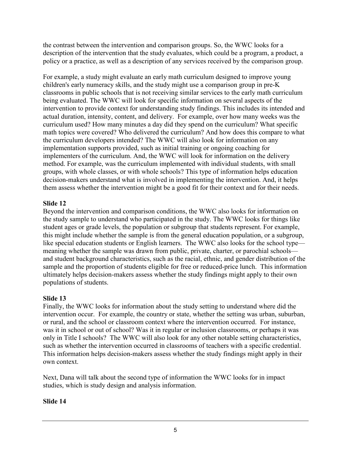the contrast between the intervention and comparison groups. So, the WWC looks for a description of the intervention that the study evaluates, which could be a program, a product, a policy or a practice, as well as a description of any services received by the comparison group.

For example, a study might evaluate an early math curriculum designed to improve young children's early numeracy skills, and the study might use a comparison group in pre-K classrooms in public schools that is not receiving similar services to the early math curriculum being evaluated. The WWC will look for specific information on several aspects of the intervention to provide context for understanding study findings. This includes its intended and actual duration, intensity, content, and delivery. For example, over how many weeks was the curriculum used? How many minutes a day did they spend on the curriculum? What specific math topics were covered? Who delivered the curriculum? And how does this compare to what the curriculum developers intended? The WWC will also look for information on any implementation supports provided, such as initial training or ongoing coaching for implementers of the curriculum. And, the WWC will look for information on the delivery method. For example, was the curriculum implemented with individual students, with small groups, with whole classes, or with whole schools? This type of information helps education decision-makers understand what is involved in implementing the intervention. And, it helps them assess whether the intervention might be a good fit for their context and for their needs.

## **Slide 12**

Beyond the intervention and comparison conditions, the WWC also looks for information on the study sample to understand who participated in the study. The WWC looks for things like student ages or grade levels, the population or subgroup that students represent. For example, this might include whether the sample is from the general education population, or a subgroup, like special education students or English learners. The WWC also looks for the school type meaning whether the sample was drawn from public, private, charter, or parochial schools and student background characteristics, such as the racial, ethnic, and gender distribution of the sample and the proportion of students eligible for free or reduced-price lunch. This information ultimately helps decision-makers assess whether the study findings might apply to their own populations of students.

#### **Slide 13**

Finally, the WWC looks for information about the study setting to understand where did the intervention occur. For example, the country or state, whether the setting was urban, suburban, or rural, and the school or classroom context where the intervention occurred. For instance, was it in school or out of school? Was it in regular or inclusion classrooms, or perhaps it was only in Title I schools? The WWC will also look for any other notable setting characteristics, such as whether the intervention occurred in classrooms of teachers with a specific credential. This information helps decision-makers assess whether the study findings might apply in their own context.

Next, Dana will talk about the second type of information the WWC looks for in impact studies, which is study design and analysis information.

#### **Slide 14**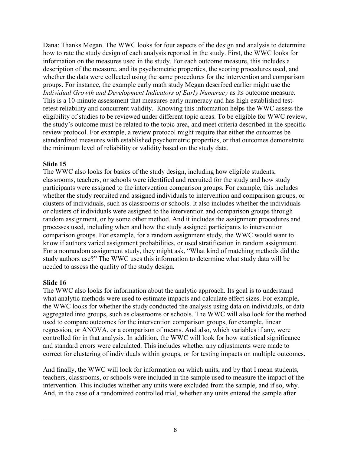Dana: Thanks Megan. The WWC looks for four aspects of the design and analysis to determine how to rate the study design of each analysis reported in the study. First, the WWC looks for information on the measures used in the study. For each outcome measure, this includes a description of the measure, and its psychometric properties, the scoring procedures used, and whether the data were collected using the same procedures for the intervention and comparison groups. For instance, the example early math study Megan described earlier might use the *Individual Growth and Development Indicators of Early Numeracy* as its outcome measure. This is a 10-minute assessment that measures early numeracy and has high established testretest reliability and concurrent validity. Knowing this information helps the WWC assess the eligibility of studies to be reviewed under different topic areas. To be eligible for WWC review, the study's outcome must be related to the topic area, and meet criteria described in the specific review protocol. For example, a review protocol might require that either the outcomes be standardized measures with established psychometric properties, or that outcomes demonstrate the minimum level of reliability or validity based on the study data.

### **Slide 15**

The WWC also looks for basics of the study design, including how eligible students, classrooms, teachers, or schools were identified and recruited for the study and how study participants were assigned to the intervention comparison groups. For example, this includes whether the study recruited and assigned individuals to intervention and comparison groups, or clusters of individuals, such as classrooms or schools. It also includes whether the individuals or clusters of individuals were assigned to the intervention and comparison groups through random assignment, or by some other method. And it includes the assignment procedures and processes used, including when and how the study assigned participants to intervention comparison groups. For example, for a random assignment study, the WWC would want to know if authors varied assignment probabilities, or used stratification in random assignment. For a nonrandom assignment study, they might ask, "What kind of matching methods did the study authors use?" The WWC uses this information to determine what study data will be needed to assess the quality of the study design.

## **Slide 16**

The WWC also looks for information about the analytic approach. Its goal is to understand what analytic methods were used to estimate impacts and calculate effect sizes. For example, the WWC looks for whether the study conducted the analysis using data on individuals, or data aggregated into groups, such as classrooms or schools. The WWC will also look for the method used to compare outcomes for the intervention comparison groups, for example, linear regression, or ANOVA, or a comparison of means. And also, which variables if any, were controlled for in that analysis. In addition, the WWC will look for how statistical significance and standard errors were calculated. This includes whether any adjustments were made to correct for clustering of individuals within groups, or for testing impacts on multiple outcomes.

And finally, the WWC will look for information on which units, and by that I mean students, teachers, classrooms, or schools were included in the sample used to measure the impact of the intervention. This includes whether any units were excluded from the sample, and if so, why. And, in the case of a randomized controlled trial, whether any units entered the sample after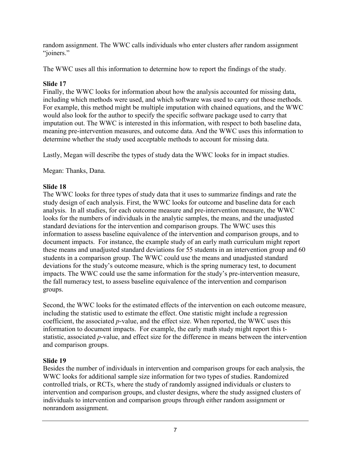random assignment. The WWC calls individuals who enter clusters after random assignment "joiners."

The WWC uses all this information to determine how to report the findings of the study.

# **Slide 17**

Finally, the WWC looks for information about how the analysis accounted for missing data, including which methods were used, and which software was used to carry out those methods. For example, this method might be multiple imputation with chained equations, and the WWC would also look for the author to specify the specific software package used to carry that imputation out. The WWC is interested in this information, with respect to both baseline data, meaning pre-intervention measures, and outcome data. And the WWC uses this information to determine whether the study used acceptable methods to account for missing data.

Lastly, Megan will describe the types of study data the WWC looks for in impact studies.

Megan: Thanks, Dana.

# **Slide 18**

The WWC looks for three types of study data that it uses to summarize findings and rate the study design of each analysis. First, the WWC looks for outcome and baseline data for each analysis. In all studies, for each outcome measure and pre-intervention measure, the WWC looks for the numbers of individuals in the analytic samples, the means, and the unadjusted standard deviations for the intervention and comparison groups. The WWC uses this information to assess baseline equivalence of the intervention and comparison groups, and to document impacts. For instance, the example study of an early math curriculum might report these means and unadjusted standard deviations for 55 students in an intervention group and 60 students in a comparison group. The WWC could use the means and unadjusted standard deviations for the study's outcome measure, which is the spring numeracy test, to document impacts. The WWC could use the same information for the study's pre-intervention measure, the fall numeracy test, to assess baseline equivalence of the intervention and comparison groups.

Second, the WWC looks for the estimated effects of the intervention on each outcome measure, including the statistic used to estimate the effect. One statistic might include a regression coefficient, the associated *p*-value, and the effect size. When reported, the WWC uses this information to document impacts. For example, the early math study might report this tstatistic, associated *p*-value, and effect size for the difference in means between the intervention and comparison groups.

# **Slide 19**

Besides the number of individuals in intervention and comparison groups for each analysis, the WWC looks for additional sample size information for two types of studies. Randomized controlled trials, or RCTs, where the study of randomly assigned individuals or clusters to intervention and comparison groups, and cluster designs, where the study assigned clusters of individuals to intervention and comparison groups through either random assignment or nonrandom assignment.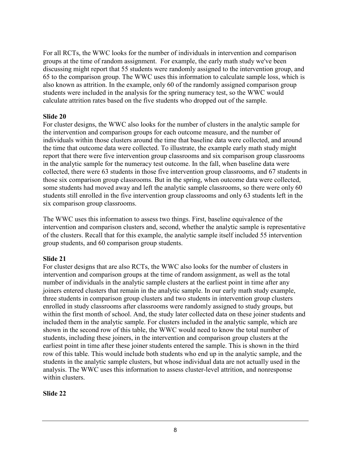For all RCTs, the WWC looks for the number of individuals in intervention and comparison groups at the time of random assignment. For example, the early math study we've been discussing might report that 55 students were randomly assigned to the intervention group, and 65 to the comparison group. The WWC uses this information to calculate sample loss, which is also known as attrition. In the example, only 60 of the randomly assigned comparison group students were included in the analysis for the spring numeracy test, so the WWC would calculate attrition rates based on the five students who dropped out of the sample.

#### **Slide 20**

For cluster designs, the WWC also looks for the number of clusters in the analytic sample for the intervention and comparison groups for each outcome measure, and the number of individuals within those clusters around the time that baseline data were collected, and around the time that outcome data were collected. To illustrate, the example early math study might report that there were five intervention group classrooms and six comparison group classrooms in the analytic sample for the numeracy test outcome. In the fall, when baseline data were collected, there were 63 students in those five intervention group classrooms, and 67 students in those six comparison group classrooms. But in the spring, when outcome data were collected, some students had moved away and left the analytic sample classrooms, so there were only 60 students still enrolled in the five intervention group classrooms and only 63 students left in the six comparison group classrooms.

The WWC uses this information to assess two things. First, baseline equivalence of the intervention and comparison clusters and, second, whether the analytic sample is representative of the clusters. Recall that for this example, the analytic sample itself included 55 intervention group students, and 60 comparison group students.

#### **Slide 21**

For cluster designs that are also RCTs, the WWC also looks for the number of clusters in intervention and comparison groups at the time of random assignment, as well as the total number of individuals in the analytic sample clusters at the earliest point in time after any joiners entered clusters that remain in the analytic sample. In our early math study example, three students in comparison group clusters and two students in intervention group clusters enrolled in study classrooms after classrooms were randomly assigned to study groups, but within the first month of school. And, the study later collected data on these joiner students and included them in the analytic sample. For clusters included in the analytic sample, which are shown in the second row of this table, the WWC would need to know the total number of students, including these joiners, in the intervention and comparison group clusters at the earliest point in time after these joiner students entered the sample. This is shown in the third row of this table. This would include both students who end up in the analytic sample, and the students in the analytic sample clusters, but whose individual data are not actually used in the analysis. The WWC uses this information to assess cluster-level attrition, and nonresponse within clusters.

#### **Slide 22**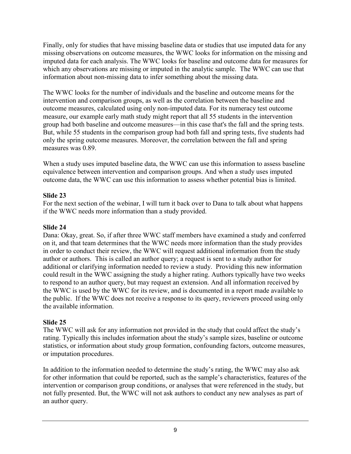Finally, only for studies that have missing baseline data or studies that use imputed data for any missing observations on outcome measures, the WWC looks for information on the missing and imputed data for each analysis. The WWC looks for baseline and outcome data for measures for which any observations are missing or imputed in the analytic sample. The WWC can use that information about non-missing data to infer something about the missing data.

The WWC looks for the number of individuals and the baseline and outcome means for the intervention and comparison groups, as well as the correlation between the baseline and outcome measures, calculated using only non-imputed data. For its numeracy test outcome measure, our example early math study might report that all 55 students in the intervention group had both baseline and outcome measures—in this case that's the fall and the spring tests. But, while 55 students in the comparison group had both fall and spring tests, five students had only the spring outcome measures. Moreover, the correlation between the fall and spring measures was 0.89.

When a study uses imputed baseline data, the WWC can use this information to assess baseline equivalence between intervention and comparison groups. And when a study uses imputed outcome data, the WWC can use this information to assess whether potential bias is limited.

### **Slide 23**

For the next section of the webinar, I will turn it back over to Dana to talk about what happens if the WWC needs more information than a study provided.

### **Slide 24**

Dana: Okay, great. So, if after three WWC staff members have examined a study and conferred on it, and that team determines that the WWC needs more information than the study provides in order to conduct their review, the WWC will request additional information from the study author or authors. This is called an author query; a request is sent to a study author for additional or clarifying information needed to review a study. Providing this new information could result in the WWC assigning the study a higher rating. Authors typically have two weeks to respond to an author query, but may request an extension. And all information received by the WWC is used by the WWC for its review, and is documented in a report made available to the public. If the WWC does not receive a response to its query, reviewers proceed using only the available information.

## **Slide 25**

The WWC will ask for any information not provided in the study that could affect the study's rating. Typically this includes information about the study's sample sizes, baseline or outcome statistics, or information about study group formation, confounding factors, outcome measures, or imputation procedures.

In addition to the information needed to determine the study's rating, the WWC may also ask for other information that could be reported, such as the sample's characteristics, features of the intervention or comparison group conditions, or analyses that were referenced in the study, but not fully presented. But, the WWC will not ask authors to conduct any new analyses as part of an author query.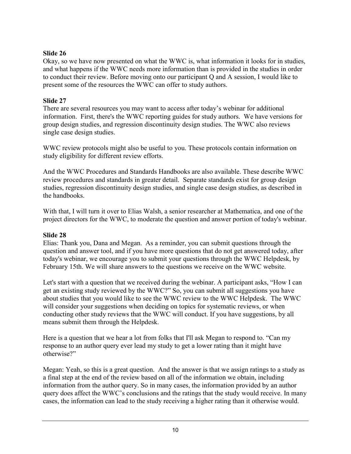### **Slide 26**

Okay, so we have now presented on what the WWC is, what information it looks for in studies, and what happens if the WWC needs more information than is provided in the studies in order to conduct their review. Before moving onto our participant Q and A session, I would like to present some of the resources the WWC can offer to study authors.

### **Slide 27**

There are several resources you may want to access after today's webinar for additional information. First, there's the WWC reporting guides for study authors. We have versions for group design studies, and regression discontinuity design studies. The WWC also reviews single case design studies.

WWC review protocols might also be useful to you. These protocols contain information on study eligibility for different review efforts.

And the WWC Procedures and Standards Handbooks are also available. These describe WWC review procedures and standards in greater detail. Separate standards exist for group design studies, regression discontinuity design studies, and single case design studies, as described in the handbooks.

With that, I will turn it over to Elias Walsh, a senior researcher at Mathematica, and one of the project directors for the WWC, to moderate the question and answer portion of today's webinar.

## **Slide 28**

Elias: Thank you, Dana and Megan. As a reminder, you can submit questions through the question and answer tool, and if you have more questions that do not get answered today, after today's webinar, we encourage you to submit your questions through the WWC Helpdesk, by February 15th. We will share answers to the questions we receive on the WWC website.

Let's start with a question that we received during the webinar. A participant asks, "How I can get an existing study reviewed by the WWC?" So, you can submit all suggestions you have about studies that you would like to see the WWC review to the WWC Helpdesk. The WWC will consider your suggestions when deciding on topics for systematic reviews, or when conducting other study reviews that the WWC will conduct. If you have suggestions, by all means submit them through the Helpdesk.

Here is a question that we hear a lot from folks that I'll ask Megan to respond to. "Can my response to an author query ever lead my study to get a lower rating than it might have otherwise?"

Megan: Yeah, so this is a great question. And the answer is that we assign ratings to a study as a final step at the end of the review based on all of the information we obtain, including information from the author query. So in many cases, the information provided by an author query does affect the WWC's conclusions and the ratings that the study would receive. In many cases, the information can lead to the study receiving a higher rating than it otherwise would.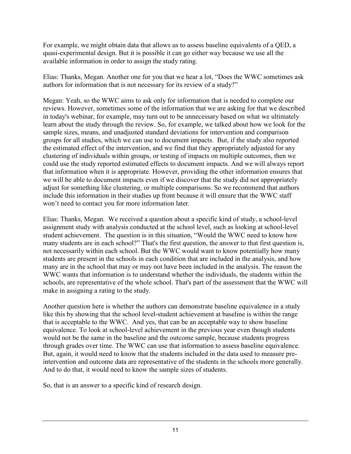For example, we might obtain data that allows us to assess baseline equivalents of a QED, a quasi-experimental design. But it is possible it can go either way because we use all the available information in order to assign the study rating.

Elias: Thanks, Megan. Another one for you that we hear a lot, "Does the WWC sometimes ask authors for information that is not necessary for its review of a study?"

Megan: Yeah, so the WWC aims to ask only for information that is needed to complete our reviews. However, sometimes some of the information that we are asking for that we described in today's webinar, for example, may turn out to be unnecessary based on what we ultimately learn about the study through the review. So, for example, we talked about how we look for the sample sizes, means, and unadjusted standard deviations for intervention and comparison groups for all studies, which we can use to document impacts. But, if the study also reported the estimated effect of the intervention, and we find that they appropriately adjusted for any clustering of individuals within groups, or testing of impacts on multiple outcomes, then we could use the study reported estimated effects to document impacts. And we will always report that information when it is appropriate. However, providing the other information ensures that we will be able to document impacts even if we discover that the study did not appropriately adjust for something like clustering, or multiple comparisons. So we recommend that authors include this information in their studies up front because it will ensure that the WWC staff won't need to contact you for more information later.

Elias: Thanks, Megan. We received a question about a specific kind of study, a school-level assignment study with analysis conducted at the school level, such as looking at school-level student achievement. The question is in this situation, "Would the WWC need to know how many students are in each school?" That's the first question, the answer to that first question is, not necessarily within each school. But the WWC would want to know potentially how many students are present in the schools in each condition that are included in the analysis, and how many are in the school that may or may not have been included in the analysis. The reason the WWC wants that information is to understand whether the individuals, the students within the schools, are representative of the whole school. That's part of the assessment that the WWC will make in assigning a rating to the study.

Another question here is whether the authors can demonstrate baseline equivalence in a study like this by showing that the school level-student achievement at baseline is within the range that is acceptable to the WWC. And yes, that can be an acceptable way to show baseline equivalence. To look at school-level achievement in the previous year even though students would not be the same in the baseline and the outcome sample, because students progress through grades over time. The WWC can use that information to assess baseline equivalence. But, again, it would need to know that the students included in the data used to measure preintervention and outcome data are representative of the students in the schools more generally. And to do that, it would need to know the sample sizes of students.

So, that is an answer to a specific kind of research design.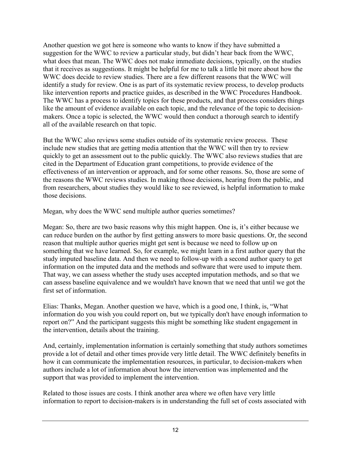Another question we got here is someone who wants to know if they have submitted a suggestion for the WWC to review a particular study, but didn't hear back from the WWC, what does that mean. The WWC does not make immediate decisions, typically, on the studies that it receives as suggestions. It might be helpful for me to talk a little bit more about how the WWC does decide to review studies. There are a few different reasons that the WWC will identify a study for review. One is as part of its systematic review process, to develop products like intervention reports and practice guides, as described in the WWC Procedures Handbook. The WWC has a process to identify topics for these products, and that process considers things like the amount of evidence available on each topic, and the relevance of the topic to decisionmakers. Once a topic is selected, the WWC would then conduct a thorough search to identify all of the available research on that topic.

But the WWC also reviews some studies outside of its systematic review process. These include new studies that are getting media attention that the WWC will then try to review quickly to get an assessment out to the public quickly. The WWC also reviews studies that are cited in the Department of Education grant competitions, to provide evidence of the effectiveness of an intervention or approach, and for some other reasons. So, those are some of the reasons the WWC reviews studies. In making those decisions, hearing from the public, and from researchers, about studies they would like to see reviewed, is helpful information to make those decisions.

Megan, why does the WWC send multiple author queries sometimes?

Megan: So, there are two basic reasons why this might happen. One is, it's either because we can reduce burden on the author by first getting answers to more basic questions. Or, the second reason that multiple author queries might get sent is because we need to follow up on something that we have learned. So, for example, we might learn in a first author query that the study imputed baseline data. And then we need to follow-up with a second author query to get information on the imputed data and the methods and software that were used to impute them. That way, we can assess whether the study uses accepted imputation methods, and so that we can assess baseline equivalence and we wouldn't have known that we need that until we got the first set of information.

Elias: Thanks, Megan. Another question we have, which is a good one, I think, is, "What information do you wish you could report on, but we typically don't have enough information to report on?" And the participant suggests this might be something like student engagement in the intervention, details about the training.

And, certainly, implementation information is certainly something that study authors sometimes provide a lot of detail and other times provide very little detail. The WWC definitely benefits in how it can communicate the implementation resources, in particular, to decision-makers when authors include a lot of information about how the intervention was implemented and the support that was provided to implement the intervention.

Related to those issues are costs. I think another area where we often have very little information to report to decision-makers is in understanding the full set of costs associated with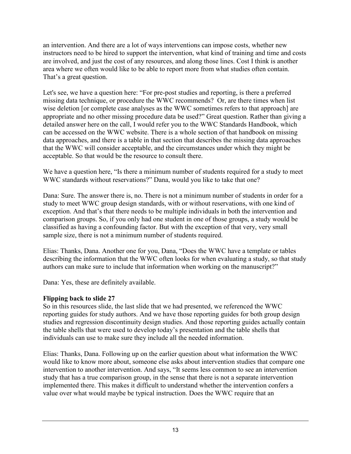an intervention. And there are a lot of ways interventions can impose costs, whether new instructors need to be hired to support the intervention, what kind of training and time and costs are involved, and just the cost of any resources, and along those lines. Cost I think is another area where we often would like to be able to report more from what studies often contain. That's a great question.

Let's see, we have a question here: "For pre-post studies and reporting, is there a preferred missing data technique, or procedure the WWC recommends? Or, are there times when list wise deletion [or complete case analyses as the WWC sometimes refers to that approach] are appropriate and no other missing procedure data be used?" Great question. Rather than giving a detailed answer here on the call, I would refer you to the WWC Standards Handbook, which can be accessed on the WWC website. There is a whole section of that handbook on missing data approaches, and there is a table in that section that describes the missing data approaches that the WWC will consider acceptable, and the circumstances under which they might be acceptable. So that would be the resource to consult there.

We have a question here, "Is there a minimum number of students required for a study to meet WWC standards without reservations?" Dana, would you like to take that one?

Dana: Sure. The answer there is, no. There is not a minimum number of students in order for a study to meet WWC group design standards, with or without reservations, with one kind of exception. And that's that there needs to be multiple individuals in both the intervention and comparison groups. So, if you only had one student in one of those groups, a study would be classified as having a confounding factor. But with the exception of that very, very small sample size, there is not a minimum number of students required.

Elias: Thanks, Dana. Another one for you, Dana, "Does the WWC have a template or tables describing the information that the WWC often looks for when evaluating a study, so that study authors can make sure to include that information when working on the manuscript?"

Dana: Yes, these are definitely available.

## **Flipping back to slide 27**

So in this resources slide, the last slide that we had presented, we referenced the WWC reporting guides for study authors. And we have those reporting guides for both group design studies and regression discontinuity design studies. And those reporting guides actually contain the table shells that were used to develop today's presentation and the table shells that individuals can use to make sure they include all the needed information.

Elias: Thanks, Dana. Following up on the earlier question about what information the WWC would like to know more about, someone else asks about intervention studies that compare one intervention to another intervention. And says, "It seems less common to see an intervention study that has a true comparison group, in the sense that there is not a separate intervention implemented there. This makes it difficult to understand whether the intervention confers a value over what would maybe be typical instruction. Does the WWC require that an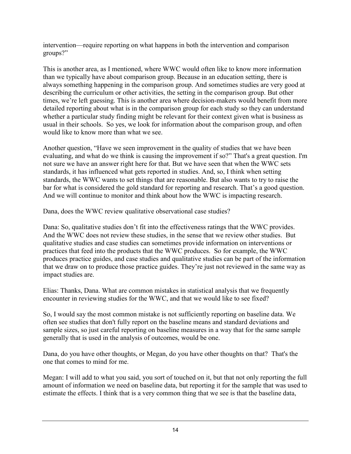intervention—require reporting on what happens in both the intervention and comparison groups?"

This is another area, as I mentioned, where WWC would often like to know more information than we typically have about comparison group. Because in an education setting, there is always something happening in the comparison group. And sometimes studies are very good at describing the curriculum or other activities, the setting in the comparison group. But other times, we're left guessing. This is another area where decision-makers would benefit from more detailed reporting about what is in the comparison group for each study so they can understand whether a particular study finding might be relevant for their context given what is business as usual in their schools. So yes, we look for information about the comparison group, and often would like to know more than what we see.

Another question, "Have we seen improvement in the quality of studies that we have been evaluating, and what do we think is causing the improvement if so?" That's a great question. I'm not sure we have an answer right here for that. But we have seen that when the WWC sets standards, it has influenced what gets reported in studies. And, so, I think when setting standards, the WWC wants to set things that are reasonable. But also wants to try to raise the bar for what is considered the gold standard for reporting and research. That's a good question. And we will continue to monitor and think about how the WWC is impacting research.

Dana, does the WWC review qualitative observational case studies?

Dana: So, qualitative studies don't fit into the effectiveness ratings that the WWC provides. And the WWC does not review these studies, in the sense that we review other studies. But qualitative studies and case studies can sometimes provide information on interventions or practices that feed into the products that the WWC produces. So for example, the WWC produces practice guides, and case studies and qualitative studies can be part of the information that we draw on to produce those practice guides. They're just not reviewed in the same way as impact studies are.

Elias: Thanks, Dana. What are common mistakes in statistical analysis that we frequently encounter in reviewing studies for the WWC, and that we would like to see fixed?

So, I would say the most common mistake is not sufficiently reporting on baseline data. We often see studies that don't fully report on the baseline means and standard deviations and sample sizes, so just careful reporting on baseline measures in a way that for the same sample generally that is used in the analysis of outcomes, would be one.

Dana, do you have other thoughts, or Megan, do you have other thoughts on that? That's the one that comes to mind for me.

Megan: I will add to what you said, you sort of touched on it, but that not only reporting the full amount of information we need on baseline data, but reporting it for the sample that was used to estimate the effects. I think that is a very common thing that we see is that the baseline data,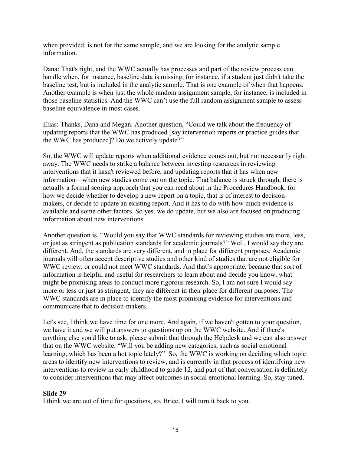when provided, is not for the same sample, and we are looking for the analytic sample information.

Dana: That's right, and the WWC actually has processes and part of the review process can handle when, for instance, baseline data is missing, for instance, if a student just didn't take the baseline test, but is included in the analytic sample. That is one example of when that happens. Another example is when just the whole random assignment sample, for instance, is included in those baseline statistics. And the WWC can't use the full random assignment sample to assess baseline equivalence in most cases.

Elias: Thanks, Dana and Megan. Another question, "Could we talk about the frequency of updating reports that the WWC has produced [say intervention reports or practice guides that the WWC has produced]? Do we actively update?"

So, the WWC will update reports when additional evidence comes out, but not necessarily right away. The WWC needs to strike a balance between investing resources in reviewing interventions that it hasn't reviewed before, and updating reports that it has when new information—when new studies come out on the topic. That balance is struck through, there is actually a formal scoring approach that you can read about in the Procedures Handbook, for how we decide whether to develop a new report on a topic, that is of interest to decisionmakers, or decide to update an existing report. And it has to do with how much evidence is available and some other factors. So yes, we do update, but we also are focused on producing information about new interventions.

Another question is, "Would you say that WWC standards for reviewing studies are more, less, or just as stringent as publication standards for academic journals?" Well, I would say they are different. And, the standards are very different, and in place for different purposes. Academic journals will often accept descriptive studies and other kind of studies that are not eligible for WWC review, or could not meet WWC standards. And that's appropriate, because that sort of information is helpful and useful for researchers to learn about and decide you know, what might be promising areas to conduct more rigorous research. So, I am not sure I would say more or less or just as stringent, they are different in their place for different purposes. The WWC standards are in place to identify the most promising evidence for interventions and communicate that to decision-makers.

Let's see. I think we have time for one more. And again, if we haven't gotten to your question, we have it and we will put answers to questions up on the WWC website. And if there's anything else you'd like to ask, please submit that through the Helpdesk and we can also answer that on the WWC website. "Will you be adding new categories, such as social emotional learning, which has been a hot topic lately?" So, the WWC is working on deciding which topic areas to identify new interventions to review, and is currently in that process of identifying new interventions to review in early childhood to grade 12, and part of that conversation is definitely to consider interventions that may affect outcomes in social emotional learning. So, stay tuned.

## **Slide 29**

I think we are out of time for questions, so, Brice, I will turn it back to you.